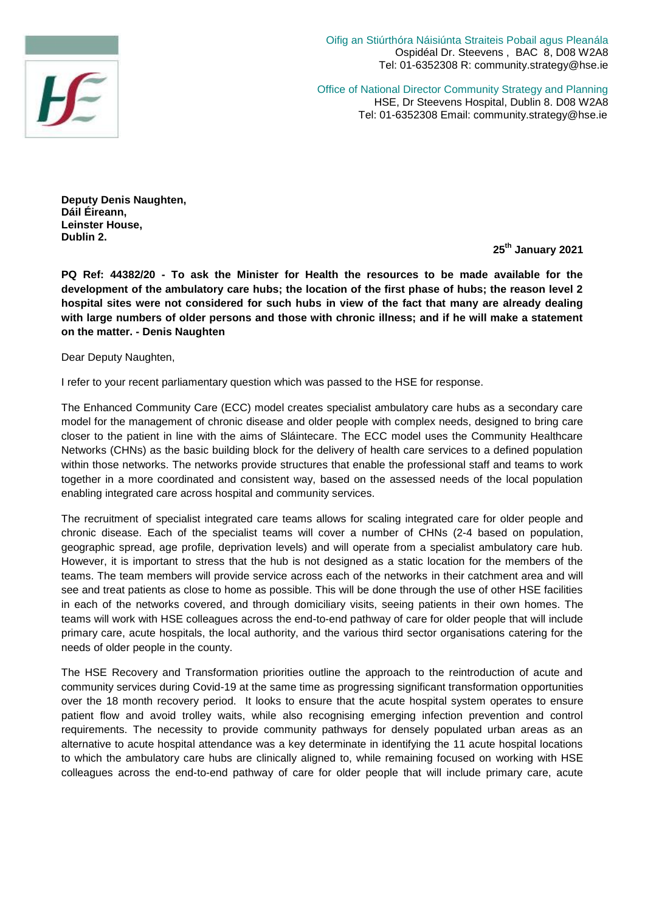

Oifig an Stiúrthóra Náisiúnta Straiteis Pobail agus Pleanála Ospidéal Dr. Steevens , BAC 8, D08 W2A8 Tel: 01-6352308 R: community.strategy@hse.ie

Office of National Director Community Strategy and Planning HSE, Dr Steevens Hospital, Dublin 8. D08 W2A8 Tel: 01-6352308 Email: community.strategy@hse.ie

**Deputy Denis Naughten, Dáil Éireann, Leinster House, Dublin 2.**

**25th January 2021**

**PQ Ref: 44382/20 - To ask the Minister for Health the resources to be made available for the development of the ambulatory care hubs; the location of the first phase of hubs; the reason level 2 hospital sites were not considered for such hubs in view of the fact that many are already dealing with large numbers of older persons and those with chronic illness; and if he will make a statement on the matter. - Denis Naughten**

Dear Deputy Naughten,

I refer to your recent parliamentary question which was passed to the HSE for response.

The Enhanced Community Care (ECC) model creates specialist ambulatory care hubs as a secondary care model for the management of chronic disease and older people with complex needs, designed to bring care closer to the patient in line with the aims of Sláintecare. The ECC model uses the Community Healthcare Networks (CHNs) as the basic building block for the delivery of health care services to a defined population within those networks. The networks provide structures that enable the professional staff and teams to work together in a more coordinated and consistent way, based on the assessed needs of the local population enabling integrated care across hospital and community services.

The recruitment of specialist integrated care teams allows for scaling integrated care for older people and chronic disease. Each of the specialist teams will cover a number of CHNs (2-4 based on population, geographic spread, age profile, deprivation levels) and will operate from a specialist ambulatory care hub. However, it is important to stress that the hub is not designed as a static location for the members of the teams. The team members will provide service across each of the networks in their catchment area and will see and treat patients as close to home as possible. This will be done through the use of other HSE facilities in each of the networks covered, and through domiciliary visits, seeing patients in their own homes. The teams will work with HSE colleagues across the end-to-end pathway of care for older people that will include primary care, acute hospitals, the local authority, and the various third sector organisations catering for the needs of older people in the county.

The HSE Recovery and Transformation priorities outline the approach to the reintroduction of acute and community services during Covid-19 at the same time as progressing significant transformation opportunities over the 18 month recovery period. It looks to ensure that the acute hospital system operates to ensure patient flow and avoid trolley waits, while also recognising emerging infection prevention and control requirements. The necessity to provide community pathways for densely populated urban areas as an alternative to acute hospital attendance was a key determinate in identifying the 11 acute hospital locations to which the ambulatory care hubs are clinically aligned to, while remaining focused on working with HSE colleagues across the end-to-end pathway of care for older people that will include primary care, acute